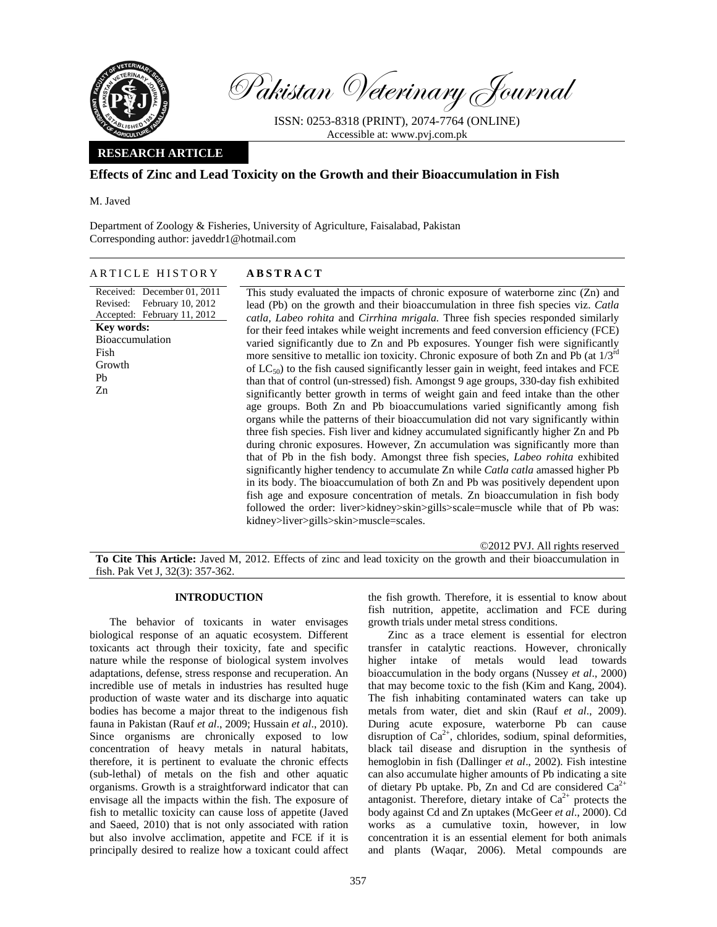

Pakistan Veterinary Journal

ISSN: 0253-8318 (PRINT), 2074-7764 (ONLINE) Accessible at: www.pvj.com.pk

# **RESEARCH ARTICLE**

# **Effects of Zinc and Lead Toxicity on the Growth and their Bioaccumulation in Fish**

M. Javed

Department of Zoology & Fisheries, University of Agriculture, Faisalabad, Pakistan Corresponding author: javeddr1@hotmail.com

### ARTICLE HISTORY **ABSTRACT**

Received: December 01, 2011 Revised: Accepted: February 11, 2012 February 10, 2012 **Key words:**  Bioaccumulation Fish Growth Pb Zn

This study evaluated the impacts of chronic exposure of waterborne zinc (Zn) and lead (Pb) on the growth and their bioaccumulation in three fish species viz. *Catla catla, Labeo rohita* and *Cirrhina mrigala.* Three fish species responded similarly for their feed intakes while weight increments and feed conversion efficiency (FCE) varied significantly due to Zn and Pb exposures. Younger fish were significantly more sensitive to metallic ion toxicity. Chronic exposure of both Zn and Pb (at  $1/3^{rd}$ ) of  $LC_{50}$ ) to the fish caused significantly lesser gain in weight, feed intakes and FCE than that of control (un-stressed) fish. Amongst 9 age groups, 330-day fish exhibited significantly better growth in terms of weight gain and feed intake than the other age groups. Both Zn and Pb bioaccumulations varied significantly among fish organs while the patterns of their bioaccumulation did not vary significantly within three fish species. Fish liver and kidney accumulated significantly higher Zn and Pb during chronic exposures. However, Zn accumulation was significantly more than that of Pb in the fish body. Amongst three fish species, *Labeo rohita* exhibited significantly higher tendency to accumulate Zn while *Catla catla* amassed higher Pb in its body. The bioaccumulation of both Zn and Pb was positively dependent upon fish age and exposure concentration of metals. Zn bioaccumulation in fish body followed the order: liver>kidney>skin>gills>scale=muscle while that of Pb was: kidney>liver>gills>skin>muscle=scales.

©2012 PVJ. All rights reserved

**To Cite This Article:** Javed M, 2012. Effects of zinc and lead toxicity on the growth and their bioaccumulation in fish. Pak Vet J, 32(3): 357-362.

## **INTRODUCTION**

The behavior of toxicants in water envisages biological response of an aquatic ecosystem. Different toxicants act through their toxicity, fate and specific nature while the response of biological system involves adaptations, defense, stress response and recuperation. An incredible use of metals in industries has resulted huge production of waste water and its discharge into aquatic bodies has become a major threat to the indigenous fish fauna in Pakistan (Rauf *et al*., 2009; Hussain *et al*., 2010). Since organisms are chronically exposed to low concentration of heavy metals in natural habitats, therefore, it is pertinent to evaluate the chronic effects (sub-lethal) of metals on the fish and other aquatic organisms. Growth is a straightforward indicator that can envisage all the impacts within the fish. The exposure of fish to metallic toxicity can cause loss of appetite (Javed and Saeed, 2010) that is not only associated with ration but also involve acclimation, appetite and FCE if it is principally desired to realize how a toxicant could affect the fish growth. Therefore, it is essential to know about fish nutrition, appetite, acclimation and FCE during growth trials under metal stress conditions.

Zinc as a trace element is essential for electron transfer in catalytic reactions. However, chronically higher intake of metals would lead towards bioaccumulation in the body organs (Nussey *et al*., 2000) that may become toxic to the fish (Kim and Kang, 2004). The fish inhabiting contaminated waters can take up metals from water, diet and skin (Rauf *et al*., 2009). During acute exposure, waterborne Pb can cause disruption of  $Ca^{2+}$ , chlorides, sodium, spinal deformities, black tail disease and disruption in the synthesis of hemoglobin in fish (Dallinger *et al*., 2002). Fish intestine can also accumulate higher amounts of Pb indicating a site of dietary Pb uptake. Pb, Zn and Cd are considered  $Ca^{2+}$ antagonist. Therefore, dietary intake of  $Ca^{2+}$  protects the body against Cd and Zn uptakes (McGeer *et al*., 2000). Cd works as a cumulative toxin, however, in low concentration it is an essential element for both animals and plants (Waqar, 2006). Metal compounds are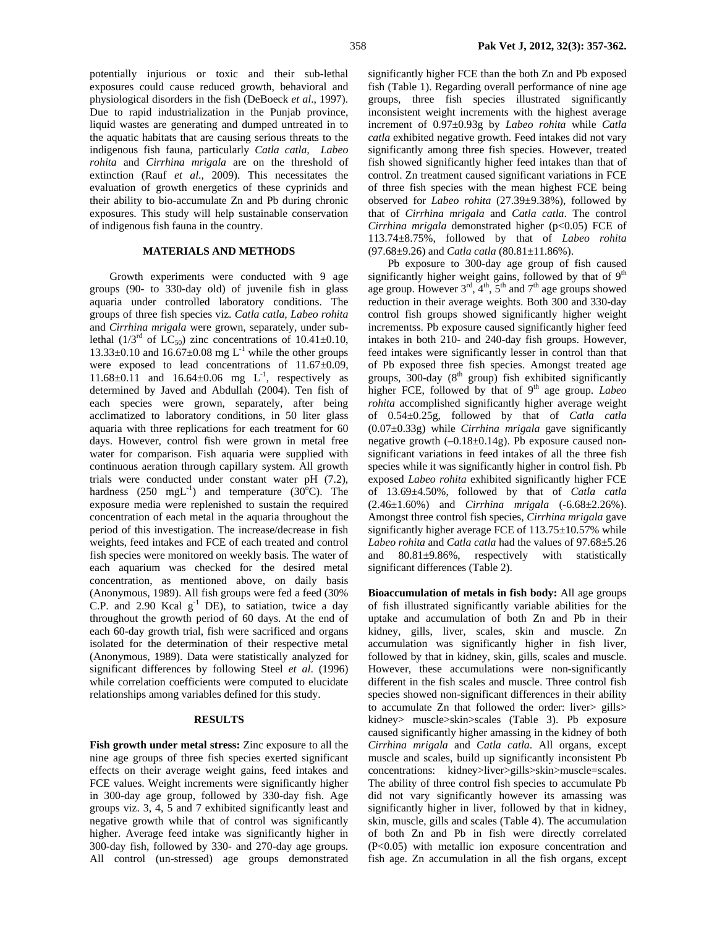potentially injurious or toxic and their sub-lethal exposures could cause reduced growth, behavioral and physiological disorders in the fish (DeBoeck *et al*., 1997). Due to rapid industrialization in the Punjab province, liquid wastes are generating and dumped untreated in to the aquatic habitats that are causing serious threats to the indigenous fish fauna, particularly *Catla catla, Labeo rohita* and *Cirrhina mrigala* are on the threshold of extinction (Rauf *et al*., 2009). This necessitates the evaluation of growth energetics of these cyprinids and their ability to bio-accumulate Zn and Pb during chronic exposures. This study will help sustainable conservation of indigenous fish fauna in the country.

### **MATERIALS AND METHODS**

Growth experiments were conducted with 9 age groups (90- to 330-day old) of juvenile fish in glass aquaria under controlled laboratory conditions. The groups of three fish species viz. *Catla catla, Labeo rohita* and *Cirrhina mrigala* were grown, separately, under sublethal  $(1/3^{rd}$  of LC<sub>50</sub>) zinc concentrations of 10.41 $\pm$ 0.10, 13.33 $\pm$ 0.10 and 16.67 $\pm$ 0.08 mg L<sup>-1</sup> while the other groups were exposed to lead concentrations of 11.67 $\pm$ 0.09, 11.68 $\pm$ 0.11 and 16.64 $\pm$ 0.06 mg L<sup>-1</sup>, respectively as determined by Javed and Abdullah (2004). Ten fish of each species were grown, separately, after being acclimatized to laboratory conditions, in 50 liter glass aquaria with three replications for each treatment for 60 days. However, control fish were grown in metal free water for comparison. Fish aquaria were supplied with continuous aeration through capillary system. All growth trials were conducted under constant water pH (7.2), hardness (250 mgL<sup>-1</sup>) and temperature (30<sup>o</sup>C). The exposure media were replenished to sustain the required concentration of each metal in the aquaria throughout the period of this investigation. The increase/decrease in fish weights, feed intakes and FCE of each treated and control fish species were monitored on weekly basis. The water of each aquarium was checked for the desired metal concentration, as mentioned above, on daily basis (Anonymous, 1989). All fish groups were fed a feed (30% C.P. and  $2.90$  Kcal  $g^{-1}$  DE), to satiation, twice a day throughout the growth period of 60 days. At the end of each 60-day growth trial, fish were sacrificed and organs isolated for the determination of their respective metal (Anonymous, 1989). Data were statistically analyzed for significant differences by following Steel *et al*. (1996) while correlation coefficients were computed to elucidate relationships among variables defined for this study.

#### **RESULTS**

**Fish growth under metal stress:** Zinc exposure to all the nine age groups of three fish species exerted significant effects on their average weight gains, feed intakes and FCE values. Weight increments were significantly higher in 300-day age group, followed by 330-day fish. Age groups viz. 3, 4, 5 and 7 exhibited significantly least and negative growth while that of control was significantly higher. Average feed intake was significantly higher in 300-day fish, followed by 330- and 270-day age groups. All control (un-stressed) age groups demonstrated

significantly higher FCE than the both Zn and Pb exposed fish (Table 1). Regarding overall performance of nine age groups, three fish species illustrated significantly inconsistent weight increments with the highest average increment of 0.97±0.93g by *Labeo rohita* while *Catla catla* exhibited negative growth. Feed intakes did not vary significantly among three fish species. However, treated fish showed significantly higher feed intakes than that of control. Zn treatment caused significant variations in FCE of three fish species with the mean highest FCE being observed for *Labeo rohita* (27.39±9.38%), followed by that of *Cirrhina mrigala* and *Catla catla*. The control *Cirrhina mrigala* demonstrated higher (p<0.05) FCE of 113.74±8.75%, followed by that of *Labeo rohita* (97.68±9.26) and *Catla catla* (80.81±11.86%).

Pb exposure to 300-day age group of fish caused significantly higher weight gains, followed by that of  $9<sup>th</sup>$ age group. However  $3<sup>rd</sup>$ ,  $4<sup>th</sup>$ ,  $5<sup>th</sup>$  and  $7<sup>th</sup>$  age groups showed reduction in their average weights. Both 300 and 330-day control fish groups showed significantly higher weight incrementss. Pb exposure caused significantly higher feed intakes in both 210- and 240-day fish groups. However, feed intakes were significantly lesser in control than that of Pb exposed three fish species. Amongst treated age groups, 300-day ( $8<sup>th</sup>$  group) fish exhibited significantly higher FCE, followed by that of 9<sup>th</sup> age group. *Labeo rohita* accomplished significantly higher average weight of 0.54±0.25g, followed by that of *Catla catla* (0.07±0.33g) while *Cirrhina mrigala* gave significantly negative growth  $(-0.18\pm0.14g)$ . Pb exposure caused nonsignificant variations in feed intakes of all the three fish species while it was significantly higher in control fish. Pb exposed *Labeo rohita* exhibited significantly higher FCE of 13.69±4.50%, followed by that of *Catla catla* (2.46±1.60%) and *Cirrhina mrigala* (-6.68±2.26%). Amongst three control fish species, *Cirrhina mrigala* gave significantly higher average FCE of 113.75±10.57% while *Labeo rohita* and *Catla catla* had the values of 97.68±5.26 and 80.81±9.86%, respectively with statistically significant differences (Table 2).

**Bioaccumulation of metals in fish body:** All age groups of fish illustrated significantly variable abilities for the uptake and accumulation of both Zn and Pb in their kidney, gills, liver, scales, skin and muscle. Zn accumulation was significantly higher in fish liver, followed by that in kidney, skin, gills, scales and muscle. However, these accumulations were non-significantly different in the fish scales and muscle. Three control fish species showed non-significant differences in their ability to accumulate Zn that followed the order: liver> gills> kidney> muscle>skin>scales (Table 3). Pb exposure caused significantly higher amassing in the kidney of both *Cirrhina mrigala* and *Catla catla*. All organs, except muscle and scales, build up significantly inconsistent Pb concentrations: kidney>liver>gills>skin>muscle=scales. The ability of three control fish species to accumulate Pb did not vary significantly however its amassing was significantly higher in liver, followed by that in kidney, skin, muscle, gills and scales (Table 4). The accumulation of both Zn and Pb in fish were directly correlated (P<0.05) with metallic ion exposure concentration and fish age. Zn accumulation in all the fish organs, except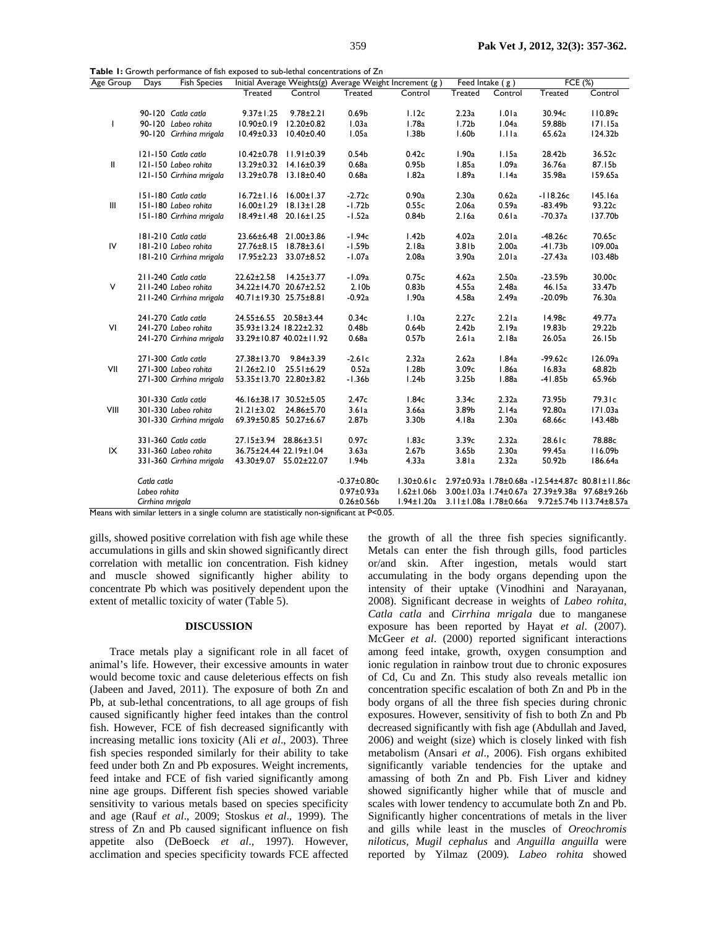| Age Group    | Days             | <b>Fish Species</b>      |                         |                                   |                   | Initial Average Weights(g) Average Weight Increment (g) | Feed Intake $(g)$ |         | FCE $(\%)$                                      |         |
|--------------|------------------|--------------------------|-------------------------|-----------------------------------|-------------------|---------------------------------------------------------|-------------------|---------|-------------------------------------------------|---------|
|              |                  |                          | Treated                 | Control                           | Treated           | Control                                                 | Treated           | Control | <b>Treated</b>                                  | Control |
|              |                  |                          |                         |                                   |                   |                                                         |                   |         |                                                 |         |
|              |                  | 90-120 Catla catla       | $9.37 \pm 1.25$         | $9.78 \pm 2.21$                   | 0.69 <sub>b</sub> | 1.12c                                                   | 2.23a             | 1.01a   | 30.94c                                          | II0.89c |
| $\mathbf{I}$ |                  | 90-120 Labeo rohita      |                         | 10.90±0.19 12.20±0.82             | 1.03a             | 1.78a                                                   | 1.72 <sub>b</sub> | 1.04a   | 59.88b                                          | 171.15a |
|              |                  | 90-120 Cirrhina mrigala  | $10.49 \pm 0.33$        | $10.40 \pm 0.40$                  | 1.05a             | 1.38 <sub>b</sub>                                       | 1.60 <sub>b</sub> | I.IIa   | 65.62a                                          | 124.32b |
|              |                  | 121-150 Catla catla      | $10.42 \pm 0.78$        | $11.91 \pm 0.39$                  | 0.54 <sub>b</sub> | 0.42c                                                   | 1.90a             | 1.15a   | 28.42b                                          | 36.52c  |
| Ш            |                  | 121-150 Labeo rohita     |                         | 13.29±0.32 14.16±0.39             | 0.68a             | 0.95 <sub>b</sub>                                       | 1.85a             | 1.09a   | 36.76a                                          | 87.15b  |
|              |                  | 121-150 Cirrhina mrigala |                         | 13.29±0.78  13.18±0.40            | 0.68a             | 1.82a                                                   | I.89a             | 1.14a   | 35.98a                                          | 159.65a |
|              |                  |                          |                         |                                   |                   |                                                         |                   |         |                                                 |         |
|              |                  | 151-180 Catla catla      |                         | $16.72 \pm 1.16$ $16.00 \pm 1.37$ | $-2.72c$          | 0.90a                                                   | 2.30a             | 0.62a   | $-118.26c$                                      | 145.16a |
| III          |                  | 151-180 Labeo rohita     |                         | $16.00 \pm 1.29$ $18.13 \pm 1.28$ | $-1.72b$          | 0.55c                                                   | 2.06a             | 0.59a   | $-83.49b$                                       | 93.22c  |
|              |                  | 151-180 Cirrhina mrigala |                         | 18.49±1.48 20.16±1.25             | $-1.52a$          | 0.84 <sub>b</sub>                                       | 2.16a             | 0.61a   | $-70.37a$                                       | 137.70b |
|              |                  | 181-210 Catla catla      | 23.66±6.48 21.00±3.86   |                                   | $-1.94c$          | I.42b                                                   | 4.02a             | 2.01a   | $-48.26c$                                       | 70.65c  |
| IV           |                  | 181-210 Labeo rohita     | 27.76±8.15              | $18.78 \pm 3.61$                  | $-1.59b$          | 2.18a                                                   | 3.81 <sub>b</sub> | 2.00a   | $-41.73b$                                       | 109.00a |
|              |                  | 181-210 Cirrhina mrigala |                         | 17.95±2.23 33.07±8.52             | $-1.07a$          | 2.08a                                                   | 3.90a             | 2.01a   | $-27.43a$                                       | 103.48b |
|              |                  |                          |                         |                                   |                   |                                                         |                   |         |                                                 |         |
|              |                  | 211-240 Catla catla      | $22.62 \pm 2.58$        | $14.25 \pm 3.77$                  | $-1.09a$          | 0.75c                                                   | 4.62a             | 2.50a   | $-23.59b$                                       | 30.00c  |
| $\vee$       |                  | 211-240 Labeo rohita     | 34.22±14.70 20.67±2.52  |                                   | 2.10 <sub>b</sub> | 0.83 <sub>b</sub>                                       | 4.55a             | 2.48a   | 46.15a                                          | 33.47b  |
|              |                  | 211-240 Cirrhina mrigala | 40.71±19.30 25.75±8.81  |                                   | $-0.92a$          | 1.90a                                                   | 4.58a             | 2.49a   | $-20.09b$                                       | 76.30a  |
|              |                  | 241-270 Catla catla      | 24.55±6.55 20.58±3.44   |                                   | 0.34c             | 1.10a                                                   | 2.27c             | 2.21a   | 14.98c                                          | 49.77a  |
| VI           |                  | 241-270 Labeo rohita     | 35.93±13.24 18.22±2.32  |                                   | 0.48 <sub>b</sub> | 0.64 <sub>b</sub>                                       | 2.42 <sub>b</sub> | 2.19a   | 19.83b                                          | 29.22b  |
|              |                  | 241-270 Cirrhina mrigala | 33.29±10.87 40.02±11.92 |                                   | 0.68a             | 0.57 <sub>b</sub>                                       | 2.61a             | 2.18a   | 26.05a                                          | 26.15b  |
|              |                  |                          |                         |                                   |                   |                                                         |                   |         |                                                 |         |
|              |                  | 271-300 Catla catla      | 27.38±13.70 9.84±3.39   |                                   | $-2.61c$          | 2.32a                                                   | 2.62a             | 1.84a   | $-99.62c$                                       | 126.09a |
| VII          |                  | 271-300 Labeo rohita     | $21.26 \pm 2.10$        | $25.51 \pm 6.29$                  | 0.52a             | 1.28 <sub>b</sub>                                       | 3.09c             | 1.86a   | 16.83a                                          | 68.82b  |
|              |                  | 271-300 Cirrhina mrigala | 53.35±13.70 22.80±3.82  |                                   | $-1.36b$          | 1.24 <sub>b</sub>                                       | 3.25 <sub>b</sub> | 1.88a   | $-41.85b$                                       | 65.96b  |
|              |                  | 301-330 Catla catla      | 46.16±38.17 30.52±5.05  |                                   | 2.47c             | 1.84c                                                   | 3.34c             | 2.32a   | 73.95b                                          | 79.31c  |
| VIII         |                  | 301-330 Labeo rohita     | 21.21±3.02 24.86±5.70   |                                   | 3.61a             | 3.66a                                                   | 3.89b             | 2.14a   | 92.80a                                          | 171.03a |
|              |                  | 301-330 Cirrhina mrigala | 69.39±50.85 50.27±6.67  |                                   | 2.87b             | 3.30b                                                   | 4.18a             | 2.30a   | 68.66c                                          | 143.48b |
|              |                  |                          |                         |                                   |                   |                                                         |                   |         |                                                 |         |
|              |                  | 331-360 Catla catla      | 27.15±3.94 28.86±3.51   |                                   | 0.97c             | 1.83c                                                   | 3.39c             | 2.32a   | 28.61c                                          | 78.88c  |
| IX           |                  | 331-360 Labeo rohita     | 36.75±24.44 22.19±1.04  |                                   | 3.63a             | 2.67 <sub>b</sub>                                       | 3.65 <sub>b</sub> | 2.30a   | 99.45a                                          | II6.09b |
|              |                  | 331-360 Cirrhina mrigala | 43.30±9.07 55.02±22.07  |                                   | 1.94 <sub>b</sub> | 4.33a                                                   | 3.81a             | 2.32a   | 50.92b                                          | 186.64a |
|              | Catla catla      |                          |                         |                                   | $-0.37 \pm 0.80c$ | $1.30 \pm 0.61$ c                                       |                   |         | 2.97±0.93a 1.78±0.68a -12.54±4.87c 80.81±11.86c |         |
|              | Labeo rohita     |                          |                         |                                   | $0.97 \pm 0.93a$  | $1.62 \pm 1.06 b$                                       |                   |         | 3.00±1.03a 1.74±0.67a 27.39±9.38a 97.68±9.26b   |         |
|              | Cirrhina mrigala |                          |                         |                                   | $0.26 \pm 0.56 b$ | $1.94 \pm 1.20a$                                        |                   |         | 3.11±1.08a 1.78±0.66a 9.72±5.74b 113.74±8.57a   |         |

**Table 1:** Growth performance of fish exposed to sub-lethal concentrations of Zn

Means with similar letters in a single column are statistically non-significant at P<0.05.

gills, showed positive correlation with fish age while these accumulations in gills and skin showed significantly direct correlation with metallic ion concentration. Fish kidney and muscle showed significantly higher ability to concentrate Pb which was positively dependent upon the extent of metallic toxicity of water (Table 5).

### **DISCUSSION**

Trace metals play a significant role in all facet of animal's life. However, their excessive amounts in water would become toxic and cause deleterious effects on fish (Jabeen and Javed, 2011). The exposure of both Zn and Pb, at sub-lethal concentrations, to all age groups of fish caused significantly higher feed intakes than the control fish. However, FCE of fish decreased significantly with increasing metallic ions toxicity (Ali *et al*., 2003). Three fish species responded similarly for their ability to take feed under both Zn and Pb exposures. Weight increments, feed intake and FCE of fish varied significantly among nine age groups. Different fish species showed variable sensitivity to various metals based on species specificity and age (Rauf *et al*., 2009; Stoskus *et al*., 1999). The stress of Zn and Pb caused significant influence on fish appetite also (DeBoeck *et al*., 1997). However, acclimation and species specificity towards FCE affected

the growth of all the three fish species significantly. Metals can enter the fish through gills, food particles or/and skin. After ingestion, metals would start accumulating in the body organs depending upon the intensity of their uptake (Vinodhini and Narayanan, 2008). Significant decrease in weights of *Labeo rohita, Catla catla* and *Cirrhina mrigala* due to manganese exposure has been reported by Hayat *et al*. (2007). McGeer *et al*. (2000) reported significant interactions among feed intake, growth, oxygen consumption and ionic regulation in rainbow trout due to chronic exposures of Cd, Cu and Zn. This study also reveals metallic ion concentration specific escalation of both Zn and Pb in the body organs of all the three fish species during chronic exposures. However, sensitivity of fish to both Zn and Pb decreased significantly with fish age (Abdullah and Javed, 2006) and weight (size) which is closely linked with fish metabolism (Ansari *et al*., 2006). Fish organs exhibited significantly variable tendencies for the uptake and amassing of both Zn and Pb. Fish Liver and kidney showed significantly higher while that of muscle and scales with lower tendency to accumulate both Zn and Pb. Significantly higher concentrations of metals in the liver and gills while least in the muscles of *Oreochromis niloticus, Mugil cephalus* and *Anguilla anguilla* were reported by Yilmaz (2009)*. Labeo rohita* showed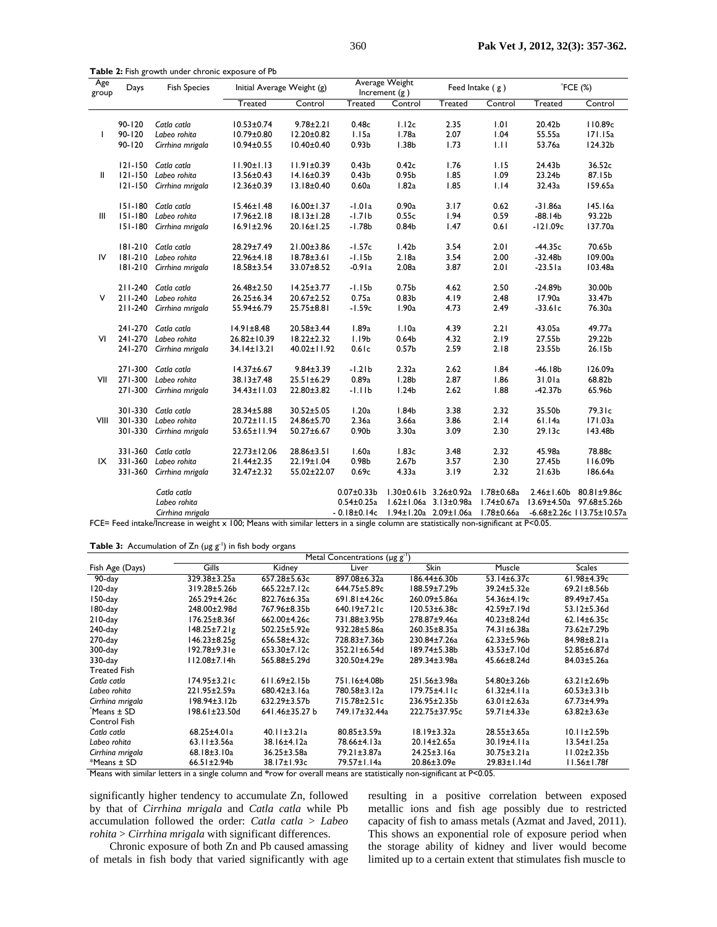Table 2: Fish growth under chronic exposure of Pb

| Age<br>group | Days        | <b>Fish Species</b>                                                                                                                           | Initial Average Weight (g) |                  |                                                                    | Average Weight<br>Increment $(g)$ |                                   | Feed Intake (g)   |                    | ${}^*$ FCE $(%)$          |  |
|--------------|-------------|-----------------------------------------------------------------------------------------------------------------------------------------------|----------------------------|------------------|--------------------------------------------------------------------|-----------------------------------|-----------------------------------|-------------------|--------------------|---------------------------|--|
|              |             |                                                                                                                                               | <b>Treated</b>             | Control          | Treated                                                            | Control                           | <b>Treated</b>                    | Control           | Treated            | Control                   |  |
|              | $90 - 120$  | Catla catla                                                                                                                                   | $10.53 \pm 0.74$           | $9.78 \pm 2.21$  | 0.48c                                                              | 1.12c                             | 2.35                              | 1.01              | 20.42b             | II0.89c                   |  |
|              | $90 - 120$  | Labeo rohita                                                                                                                                  | $10.79 \pm 0.80$           | 12.20±0.82       | 1.15a                                                              | 1.78a                             | 2.07                              | 1.04              | 55.55a             | 171.15a                   |  |
|              | $90 - 120$  | Cirrhina mrigala                                                                                                                              | $10.94 \pm 0.55$           | $10.40 \pm 0.40$ | 0.93 <sub>b</sub>                                                  | 1.38 <sub>b</sub>                 | 1.73                              | 1.11              | 53.76a             | 124.32b                   |  |
|              |             | 121-150 Catla catla                                                                                                                           | $11.90 \pm 1.13$           | $11.91 \pm 0.39$ | 0.43 <sub>b</sub>                                                  | 0.42c                             | 1.76                              | 1.15              | 24.43b             | 36.52c                    |  |
|              |             |                                                                                                                                               |                            |                  |                                                                    |                                   |                                   |                   |                    |                           |  |
| Ш            | $121 - 150$ | Labeo rohita                                                                                                                                  | $13.56 \pm 0.43$           | $14.16 \pm 0.39$ | 0.43 <sub>b</sub>                                                  | 0.95 <sub>b</sub>                 | 1.85                              | 1.09              | 23.24b             | 87.15b                    |  |
|              |             | 121-150 Cirrhina mrigala                                                                                                                      | $12.36 \pm 0.39$           | 13.18±0.40       | 0.60a                                                              | I.82a                             | 1.85                              | 1.14              | 32.43a             | 159.65a                   |  |
|              | $151 - 180$ | Catla catla                                                                                                                                   | $15.46 \pm 1.48$           | $16.00 \pm 1.37$ | $-1.01a$                                                           | 0.90a                             | 3.17                              | 0.62              | $-31.86a$          | 145.16a                   |  |
| Ш            | $151 - 180$ | Labeo rohita                                                                                                                                  | $17.96 \pm 2.18$           | $18.13 \pm 1.28$ | $-1.71b$                                                           | 0.55c                             | 1.94                              | 0.59              | $-88.14b$          | 93.22b                    |  |
|              | 151-180     | Cirrhina mrigala                                                                                                                              | $16.91 \pm 2.96$           | 20.16±1.25       | $-1.78b$                                                           | 0.84 <sub>b</sub>                 | 1.47                              | 0.61              | $-121.09c$         | 137.70a                   |  |
|              |             | 181-210 Catla catla                                                                                                                           | 28.29±7.49                 | 21.00±3.86       | $-1.57c$                                                           | I.42b                             | 3.54                              | 2.01              | $-44.35c$          | 70.65b                    |  |
| IV           |             | 181-210 Labeo rohita                                                                                                                          | 22.96±4.18                 | $18.78 \pm 3.61$ | $-1.15b$                                                           | 2.18a                             | 3.54                              | 2.00              | $-32.48b$          | 109.00a                   |  |
|              |             | 181-210 Cirrhina mrigala                                                                                                                      | $18.58 \pm 3.54$           | 33.07±8.52       | $-0.91a$                                                           | 2.08a                             | 3.87                              | 2.01              | $-23.51a$          | 103.48a                   |  |
|              |             | 211-240 Catla catla                                                                                                                           | 26.48±2.50                 | $14.25 \pm 3.77$ | $-1.15b$                                                           | 0.75 <sub>b</sub>                 | 4.62                              | 2.50              | $-24.89b$          | 30.00b                    |  |
| V            |             | 211-240 Labeo rohita                                                                                                                          | 26.25±6.34                 | 20.67±2.52       | 0.75a                                                              | 0.83 <sub>b</sub>                 | 4.19                              | 2.48              | 17.90a             | 33.47b                    |  |
|              | 211-240     | Cirrhina mrigala                                                                                                                              | 55.94±6.79                 | 25.75±8.81       | $-1.59c$                                                           | 1.90a                             | 4.73                              | 2.49              | $-33.61c$          | 76.30a                    |  |
|              |             |                                                                                                                                               |                            |                  |                                                                    |                                   |                                   |                   |                    |                           |  |
|              | 241-270     | Catla catla                                                                                                                                   | $14.91 \pm 8.48$           | 20.58±3.44       | 1.89a                                                              | 1.10a                             | 4.39                              | 2.21              | 43.05a             | 49.77a                    |  |
| VI           | 241-270     | Labeo rohita                                                                                                                                  | 26.82±10.39                | $18.22 \pm 2.32$ | 1.19 <sub>b</sub>                                                  | 0.64 <sub>b</sub>                 | 4.32                              | 2.19              | 27.55b             | 29.22b                    |  |
|              | 241-270     | Cirrhina mrigala                                                                                                                              | 34.14±13.21                | 40.02±11.92      | 0.61c                                                              | 0.57 <sub>b</sub>                 | 2.59                              | 2.18              | 23.55b             | 26.15 <sub>b</sub>        |  |
|              |             | 271-300 Catla catla                                                                                                                           | $14.37 \pm 6.67$           | $9.84 \pm 3.39$  | $-1.21b$                                                           | 2.32a                             | 2.62                              | 1.84              | $-46.18b$          | 126.09a                   |  |
| VII          |             | 271-300 Labeo rohita                                                                                                                          | 38.13±7.48                 | $25.51 \pm 6.29$ | 0.89a                                                              | 1.28 <sub>b</sub>                 | 2.87                              | 1.86              | 31.01a             | 68.82b                    |  |
|              |             | 271-300 Cirrhina mrigala                                                                                                                      | 34.43±11.03                | 22.80±3.82       | $-1.11b$                                                           | 1.24 <sub>b</sub>                 | 2.62                              | 1.88              | $-42.37b$          | 65.96b                    |  |
|              |             |                                                                                                                                               |                            |                  |                                                                    |                                   |                                   |                   |                    |                           |  |
|              | 301-330     | Catla catla                                                                                                                                   | 28.34±5.88                 | 30.52±5.05       | 1.20a                                                              | I.84b                             | 3.38                              | 2.32              | 35.50b             | 79.31c                    |  |
| VIII         | 301-330     | Labeo rohita                                                                                                                                  | 20.72±11.15                | 24.86±5.70       | 2.36a                                                              | 3.66a                             | 3.86                              | 2.14              | 61.14a             | 171.03a                   |  |
|              | 301-330     | Cirrhina mrigala                                                                                                                              | 53.65±11.94                | 50.27±6.67       | 0.90 <sub>b</sub>                                                  | 3.30a                             | 3.09                              | 2.30              | 29.13c             | 143.48b                   |  |
|              | 331-360     | Catla catla                                                                                                                                   | 22.73±12.06                | $28.86 \pm 3.51$ | 1.60a                                                              | 1.83c                             | 3.48                              | 2.32              | 45.98a             | 78.88c                    |  |
| IX           |             | 331-360 Labeo rohita                                                                                                                          | $21.44 \pm 2.35$           | 22.19±1.04       | 0.98 <sub>b</sub>                                                  | 2.67 <sub>b</sub>                 | 3.57                              | 2.30              | 27.45b             | II6.09b                   |  |
|              | 331-360     | Cirrhina mrigala                                                                                                                              | 32.47±2.32                 | 55.02±22.07      | 0.69c                                                              | 4.33a                             | 3.19                              | 2.32              | 21.63 <sub>b</sub> | 186.64a                   |  |
|              |             | Catla catla                                                                                                                                   |                            |                  | $0.07 \pm 0.33 b$                                                  |                                   | $1.30\pm0.61b$ 3.26 $\pm$ 0.92a   | l.78±0.68a        | $2.46 \pm 1.60$    | $80.81 \pm 9.86c$         |  |
|              |             | Labeo rohita                                                                                                                                  |                            |                  | $0.54 \pm 0.25a$                                                   |                                   | $1.62 \pm 1.06a$ 3.13 $\pm$ 0.98a | $1.74 \pm 0.67$ a |                    | 13.69±4.50a 97.68±5.26b   |  |
|              |             | Cirrhina mrigala                                                                                                                              |                            |                  | $-0.18\pm0.14c$ 1.94 $\pm$ 1.20a 2.09 $\pm$ 1.06a 1.78 $\pm$ 0.66a |                                   |                                   |                   |                    | -6.68±2.26c 113.75±10.57a |  |
|              |             | $FCF =$ Feed intake/Increase in weight x 100; Means with similar letters in a single column are statistically non-significant at $P \le 0.05$ |                            |                  |                                                                    |                                   |                                   |                   |                    |                           |  |

Table 3: Accumulation of  $Zn$  ( $\mu$ g  $g^{-1}$ ) in fish body organs

| Metal Concentrations (µg g <sup>-1</sup> ) |                     |                          |                                        |                    |                                         |                    |  |  |
|--------------------------------------------|---------------------|--------------------------|----------------------------------------|--------------------|-----------------------------------------|--------------------|--|--|
| Fish Age (Days)                            | Gills               | Kidney                   | Liver                                  | Skin               | Muscle                                  | <b>Scales</b>      |  |  |
| $90$ -day                                  | 329.38±3.25a        | $657.28 \pm 5.63c$       | 897.08±6.32a                           | 186.44±6.30b       | $53.14\pm 6.37c$                        | 61.98±4.39c        |  |  |
| 120-day                                    | 319.28±5.26b        | 665.22±7.12c             | 644.75±5.89c                           | 188.59±7.29b       | 39.24±5.32e                             | 69.21±8.56b        |  |  |
| 150-day                                    | 265.29±4.26c        | 822.76±6.35a             | $691.81 \pm 4.26c$                     | 260.09±5.86a       | 54.36±4.19c                             | 89.49±7.45a        |  |  |
| 180-day                                    | 248.00±2.98d        | 767.96±8.35b             | $640.19 \pm 7.21c$                     | 120.53±6.38c       | 42.59±7.19d                             | 53.12±5.36d        |  |  |
| $210$ -day                                 | 176.25±8.36f        | 662.00±4.26c             | 731.88±3.95b                           | 278.87±9.46a       | $40.23 \pm 8.24$ d                      | $62.14\pm 6.35c$   |  |  |
| 240-day                                    | $148.25 \pm 7.21$ g | 502.25±5.92e             | 932.28±5.86a                           | 260.35±8.35a       | 74.31±6.38a                             | 73.62±7.29b        |  |  |
| $270$ -day                                 | $146.23 \pm 8.25g$  | 656.58±4.32c             | 728.83±7.36b                           | 230.84±7.26a       | $62.33 \pm 5.96b$                       | 84.98±8.21a        |  |  |
| 300-day                                    | 192.78±9.31e        | 653.30±7.12c             | 352.21±6.54d                           | 189.74±5.38b       | 43.53±7.10d                             | 52.85±6.87d        |  |  |
| 330-day                                    | $112.08 \pm 7.14h$  | 565.88±5.29d             | 320.50±4.29e                           | 289.34±3.98a       | 45.66±8.24d                             | 84.03±5.26a        |  |  |
| <b>Treated Fish</b>                        |                     |                          |                                        |                    |                                         |                    |  |  |
| Catla catla                                | $174.95 \pm 3.21c$  | $611.69 \pm 2.15b$       | 751.16±4.08b                           | 251.56±3.98a       | 54.80±3.26b                             | $63.21 \pm 2.69$ b |  |  |
| Labeo rohita                               | 221.95±2.59a        | $680.42 \pm 3.16a$       | 780.58±3.12a                           | $179.75 \pm 4.11c$ | $61.32 \pm 4.11a$                       | $60.53 \pm 3.31 b$ |  |  |
| Cirrhina mrigala                           | 198.94±3.12b        | 632.29±3.57b             | 715.78±2.51c                           | 236.95±2.35b       | $63.01 \pm 2.63a$                       | 67.73±4.99a        |  |  |
| *Means ± SD                                | 198.61±23.50d       | 641.46±35.27 b           | 749.17±32.44a                          | 222.75±37.95c      | 59.71±4.33e                             | $63.82 \pm 3.63e$  |  |  |
| Control Fish                               |                     |                          |                                        |                    |                                         |                    |  |  |
| Catla catla                                | 68.25±4.01a         | $40.11 \pm 3.21a$        | $80.85 \pm 3.59a$                      | $18.19 \pm 3.32a$  | $28.55 \pm 3.65a$                       | $10.11 \pm 2.59$ b |  |  |
| Labeo rohita                               | $63.11 \pm 3.56a$   | 38.16±4.12a              | 78.66±4.13a                            | 20.14±2.65a        | 30.19±4.11a                             | 13.54±1.25a        |  |  |
| Cirrhina mrigala                           | 68.18±3.10a         | 36.25±3.58a              | 79.21±3.87a                            | 24.25±3.16a        | $30.75 \pm 3.21a$                       | $11.02 \pm 2.35b$  |  |  |
| $*$ Means $\pm$ SD<br>.                    | $66.51 \pm 2.94b$   | 38.17±1.93c<br>$1 - 474$ | 79.57±1.14a<br>$\cdot$ $\cdot$ $\cdot$ | 20.86±3.09e        | $29.83 \pm 1.14$ d<br><b>B</b> $\theta$ | $11.56 \pm 1.78$ f |  |  |

Means with similar letters in a single column and \*row for overall means are statistically non-significant at  $P<0.05$ .

significantly higher tendency to accumulate Zn, followed by that of Cirrhina mrigala and Catla catla while Pb accumulation followed the order: Catla catla > Labeo  $rohita > Cirrhina mrigala with significant differences.$ 

Chronic exposure of both Zn and Pb caused amassing of metals in fish body that varied significantly with age resulting in a positive correlation between exposed metallic ions and fish age possibly due to restricted capacity of fish to amass metals (Azmat and Javed, 2011). This shows an exponential role of exposure period when the storage ability of kidney and liver would become limited up to a certain extent that stimulates fish muscle to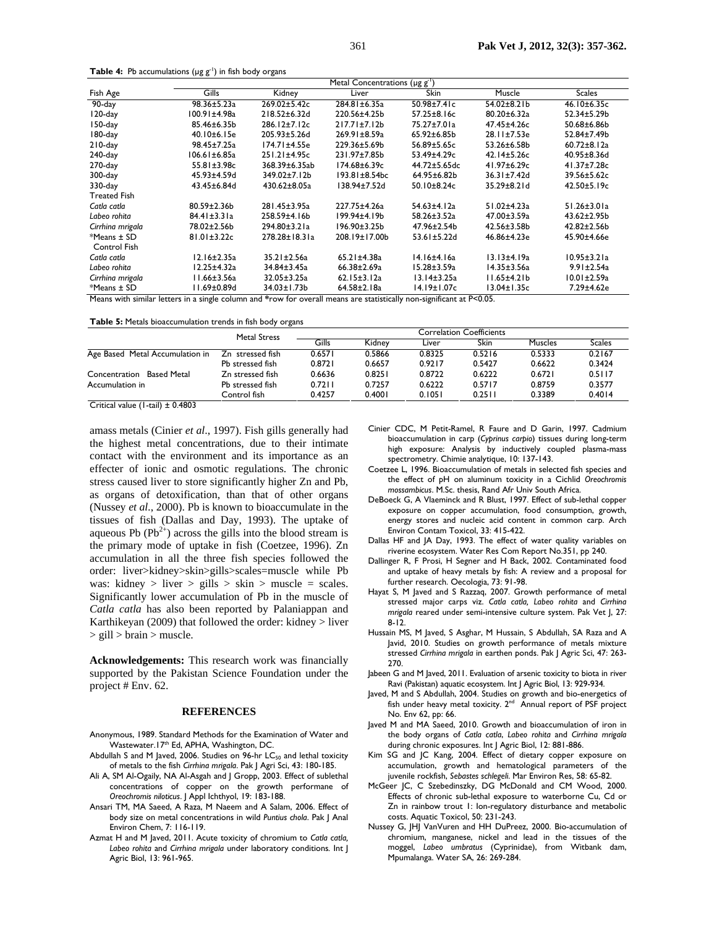Table 4: Pb accumulations (µg g<sup>-1</sup>) in fish body organs

|                     | Metal Concentrations (µg $g'$ )                                                                                            |                    |                     |                   |                    |                   |  |  |
|---------------------|----------------------------------------------------------------------------------------------------------------------------|--------------------|---------------------|-------------------|--------------------|-------------------|--|--|
| Fish Age            | Gills                                                                                                                      | Kidney             | Liver               | <b>Skin</b>       | Muscle             | <b>Scales</b>     |  |  |
| $90 - day$          | 98.36±5.23a                                                                                                                | $269.02 \pm 5.42c$ | $284.81 \pm 6.35$ a | $50.98 \pm 7.41c$ | $54.02 + 8.21$     | 46.10±6.35c       |  |  |
| 120-day             | 100.91±4.98a                                                                                                               | 218.52±6.32d       | 220.56±4.25b        | 57.25±8.16c       | 80.20±6.32a        | 52.34±5.29b       |  |  |
| 150-day             | 85.46±6.35b                                                                                                                | 286.12±7.12c       | $217.71 \pm 7.12b$  | 75.27±7.01a       | 47.45±4.26c        | 50.68±6.86b       |  |  |
| 180-day             | 40.10±6.15e                                                                                                                | 205.93±5.26d       | 269.91±8.59a        | 65.92±6.85b       | 28.11±7.53e        | 52.84±7.49b       |  |  |
| $210$ -day          | 98.45±7.25a                                                                                                                | 174.71±4.55e       | 229.36±5.69b        | 56.89±5.65c       | 53.26±6.58b        | $60.72 \pm 8.12a$ |  |  |
| $240$ -day          | $106.61 \pm 6.85a$                                                                                                         | 251.21±4.95c       | 231.97±7.85b        | 53.49±4.29c       | 42.14±5.26c        | 40.95±8.36d       |  |  |
| 270-day             | 55.81±3.98c                                                                                                                | 368.39±6.35ab      | 174.68±6.39c        | 44.72±5.65dc      | 41.97±6.29c        | 41.37±7.28c       |  |  |
| 300-day             | 45.93±4.59d                                                                                                                | 349.02±7.12b       | 193.81±8.54bc       | 64.95±6.82b       | 36.31±7.42d        | 39.56±5.62c       |  |  |
| 330-day             | 43.45±6.84d                                                                                                                | 430.62±8.05a       | 138.94±7.52d        | 50.10±8.24c       | 35.29±8.21d        | 42.50±5.19c       |  |  |
| <b>Treated Fish</b> |                                                                                                                            |                    |                     |                   |                    |                   |  |  |
| Catla catla         | 80.59±2.36b                                                                                                                | 281.45±3.95a       | 227.75±4.26a        | 54.63±4.12a       | 51.02±4.23a        | $51.26 \pm 3.01a$ |  |  |
| Labeo rohita        | $84.41 \pm 3.31a$                                                                                                          | 258.59±4.16b       | 199.94±4.19b        | 58.26±3.52a       | 47.00±3.59a        | $43.62 \pm 2.95b$ |  |  |
| Cirrhina mrigala    | 78.02±2.56b                                                                                                                | 294.80±3.21a       | 196.90±3.25b        | 47.96±2.54b       | 42.56±3.58b        | $42.82 \pm 2.56$  |  |  |
| $*$ Means $\pm$ SD  | $81.01 \pm 3.22c$                                                                                                          | 278.28±18.31a      | 208.19±17.00b       | 53.61±5.22d       | 46.86±4.23e        | 45.90±4.66e       |  |  |
| <b>Control Fish</b> |                                                                                                                            |                    |                     |                   |                    |                   |  |  |
| Catla catla         | $12.16 \pm 2.35a$                                                                                                          | 35.21±2.56a        | $65.21 \pm 4.38$ a  | 14.16±4.16a       | $13.13 \pm 4.19a$  | $10.95 \pm 3.21a$ |  |  |
| Labeo rohita        | 12.25±4.32a                                                                                                                | 34.84±3.45a        | 66.38±2.69a         | 15.28±3.59a       | $14.35 \pm 3.56a$  | $9.91 \pm 2.54$ a |  |  |
| Cirrhina mrigala    | 11.66±3.56a                                                                                                                | 32.05±3.25a        | $62.15 \pm 3.12a$   | 13.14±3.25a       | $11.65 \pm 4.21 b$ | 10.01±2.59a       |  |  |
| *Means ± SD         | 11.69±0.89d                                                                                                                | 34.03±1.73b        | 64.58±2.18a         | 14.19±1.07c       | $13.04 \pm 1.35c$  | 7.29±4.62e        |  |  |
|                     | Means with similar letters in a single column and *row for overall means are statistically non-significant at $P < 0.05$ . |                    |                     |                   |                    |                   |  |  |

**Table 5:** Metals bioaccumulation trends in fish body organs

|                                 | Metal Stress     | <b>Correlation Coefficients</b> |        |        |        |         |        |  |  |
|---------------------------------|------------------|---------------------------------|--------|--------|--------|---------|--------|--|--|
|                                 |                  | Gills                           | Kidnev | ∟iver  | Skin   | Muscles | Scales |  |  |
| Age Based Metal Accumulation in | Zn stressed fish | 0.6571                          | 0.5866 | 0.8325 | 0.5216 | 0.5333  | 0.2167 |  |  |
|                                 | Pb stressed fish | 0.8721                          | 0.6657 | 0.9217 | 0.5427 | 0.6622  | 0.3424 |  |  |
| Concentration Based Metal       | Zn stressed fish | 0.6636                          | 0.8251 | 0.8722 | 0.6222 | 0.6721  | 0.5117 |  |  |
| Accumulation in                 | Pb stressed fish | 0.7211                          | 0.7257 | 0.6222 | 0.5717 | 0.8759  | 0.3577 |  |  |
|                                 | Control fish     | 0.4257                          | 0.4001 | 0.1051 | 0.2511 | 0.3389  | 0.4014 |  |  |

Critical value (1-tail) ± 0.4803

amass metals (Cinier *et al*., 1997). Fish gills generally had the highest metal concentrations, due to their intimate contact with the environment and its importance as an effecter of ionic and osmotic regulations. The chronic stress caused liver to store significantly higher Zn and Pb, as organs of detoxification, than that of other organs (Nussey *et al.*, 2000). Pb is known to bioaccumulate in the tissues of fish (Dallas and Day, 1993). The uptake of aqueous Pb  $(Pb^{2+})$  across the gills into the blood stream is the primary mode of uptake in fish (Coetzee, 1996). Zn accumulation in all the three fish species followed the order: liver>kidney>skin>gills>scales=muscle while Pb was: kidney > liver > gills > skin > muscle = scales. Significantly lower accumulation of Pb in the muscle of *Catla catla* has also been reported by Palaniappan and Karthikeyan (2009) that followed the order: kidney > liver  $>$  gill  $>$  brain  $>$  muscle.

**Acknowledgements:** This research work was financially supported by the Pakistan Science Foundation under the project # Env. 62.

#### **REFERENCES**

- Anonymous, 1989. Standard Methods for the Examination of Water and Wastewater.17<sup>th</sup> Ed, APHA, Washington, DC.
- Abdullah S and M Javed, 2006. Studies on 96-hr  $LC_{50}$  and lethal toxicity of metals to the fish *Cirrhina mrigala*. Pak J Agri Sci, 43: 180-185.
- Ali A, SM Al-Ogaily, NA Al-Asgah and J Gropp, 2003. Effect of sublethal concentrations of copper on the growth performane of *Oreochromis niloticus*. J Appl Ichthyol, 19: 183-188.
- Ansari TM, MA Saeed, A Raza, M Naeem and A Salam, 2006. Effect of body size on metal concentrations in wild *Puntius chola*. Pak J Anal Environ Chem, 7: 116-119.
- Azmat H and M Javed, 2011. Acute toxicity of chromium to *Catla catla, Labeo rohita* and *Cirrhina mrigala* under laboratory conditions*.* Int J Agric Biol, 13: 961-965.
- Cinier CDC, M Petit-Ramel, R Faure and D Garin, 1997. Cadmium bioaccumulation in carp (*Cyprinus carpio*) tissues during long-term high exposure: Analysis by inductively coupled plasma-mass spectrometry. Chimie analytique, 10: 137-143.
- Coetzee L, 1996. Bioaccumulation of metals in selected fish species and the effect of pH on aluminum toxicity in a Cichlid *Oreochromis mossambicus*. M.Sc. thesis, Rand Afr Univ South Africa.
- DeBoeck G, A Vlaeminck and R Blust, 1997. Effect of sub-lethal copper exposure on copper accumulation, food consumption, growth, energy stores and nucleic acid content in common carp. Arch Environ Contam Toxicol, 33: 415-422.
- Dallas HF and JA Day, 1993. The effect of water quality variables on riverine ecosystem. Water Res Com Report No.351, pp 240.
- Dallinger R, F Prosi, H Segner and H Back, 2002. Contaminated food and uptake of heavy metals by fish: A review and a proposal for further research. Oecologia, 73: 91-98.
- Hayat S, M Javed and S Razzaq, 2007. Growth performance of metal stressed major carps viz. *Catla catla, Labeo rohita* and *Cirrhina mrigala* reared under semi-intensive culture system. Pak Vet J, 27: 8-12.
- Hussain MS, M Javed, S Asghar, M Hussain, S Abdullah, SA Raza and A Javid, 2010. Studies on growth performance of metals mixture stressed *Cirrhina mrigala* in earthen ponds. Pak J Agric Sci, 47: 263- 270.
- Jabeen G and M Javed, 2011. Evaluation of arsenic toxicity to biota in river Ravi (Pakistan) aquatic ecosystem. Int J Agric Biol, 13: 929-934.
- Javed, M and S Abdullah, 2004. Studies on growth and bio-energetics of fish under heavy metal toxicity.  $2^{nd}$  Annual report of PSF project No. Env 62, pp: 66.
- Javed M and MA Saeed, 2010. Growth and bioaccumulation of iron in the body organs of *Catla catla*, *Labeo rohita* and *Cirrhina mrigala* during chronic exposures. Int J Agric Biol, 12: 881-886.
- Kim SG and JC Kang, 2004. Effect of dietary copper exposure on accumulation, growth and hematological parameters of the juvenile rockfish, *Sebastes schlegeli*. Mar Environ Res, 58: 65-82.
- McGeer JC, C Szebedinszky, DG McDonald and CM Wood, 2000. Effects of chronic sub-lethal exposure to waterborne Cu, Cd or Zn in rainbow trout 1: Ion-regulatory disturbance and metabolic costs. Aquatic Toxicol, 50: 231-243.
- Nussey G, JHJ VanVuren and HH DuPreez, 2000. Bio-accumulation of chromium, manganese, nickel and lead in the tissues of the moggel, *Labeo umbratus* (Cyprinidae), from Witbank dam, Mpumalanga. Water SA, 26: 269-284.